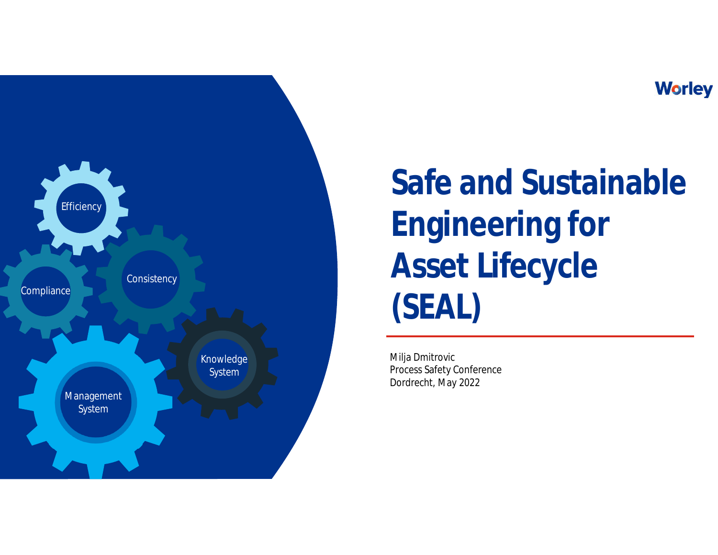### **Worley**



**Safe and Sustainable Engineering for Asset Lifecycle (SEAL)**

Milja Dmitrovic Process Safety Conference Dordrecht, May 2022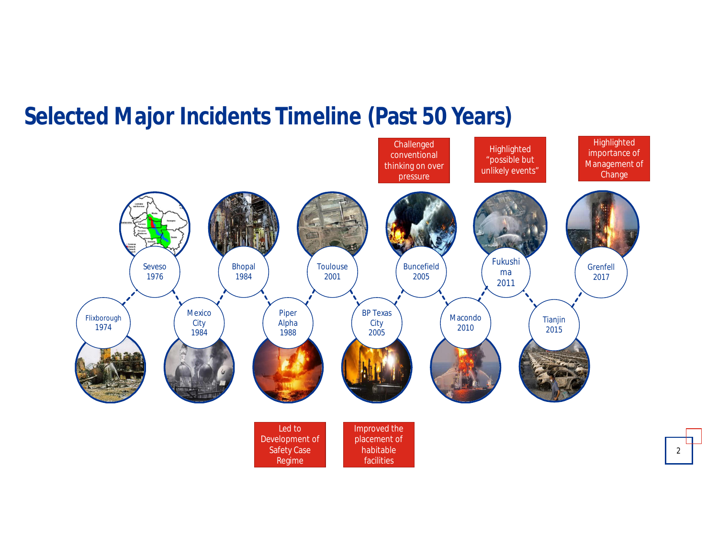### **Selected Major Incidents Timeline (Past 50 Years)**

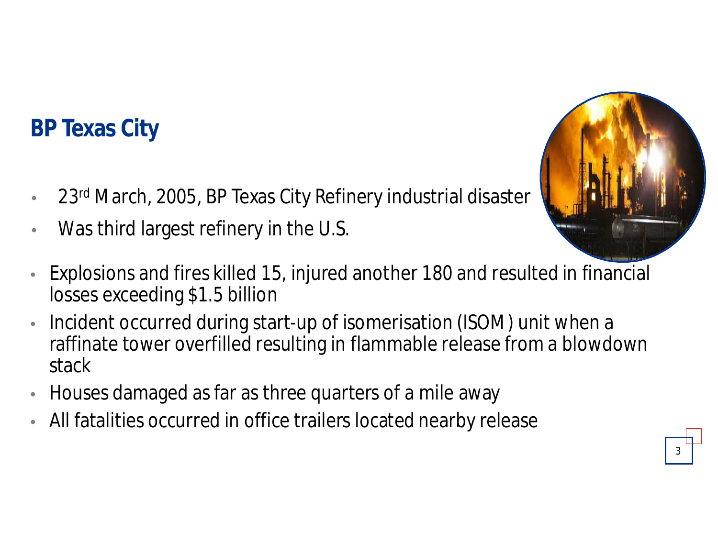## **BP Texas City**

- 23<sup>rd</sup> March, 2005, BP Texas City Refinery industrial disaster
- Was third largest refinery in the U.S.



- Explosions and fires killed 15, injured another 180 and resulted in financial losses exceeding \$1.5 billion
- Incident occurred during start-up of isomerisation (ISOM) unit when a raffinate tower overfilled resulting in flammable release from a blowdown stack
- Houses damaged as far as three quarters of a mile away
- All fatalities occurred in office trailers located nearby release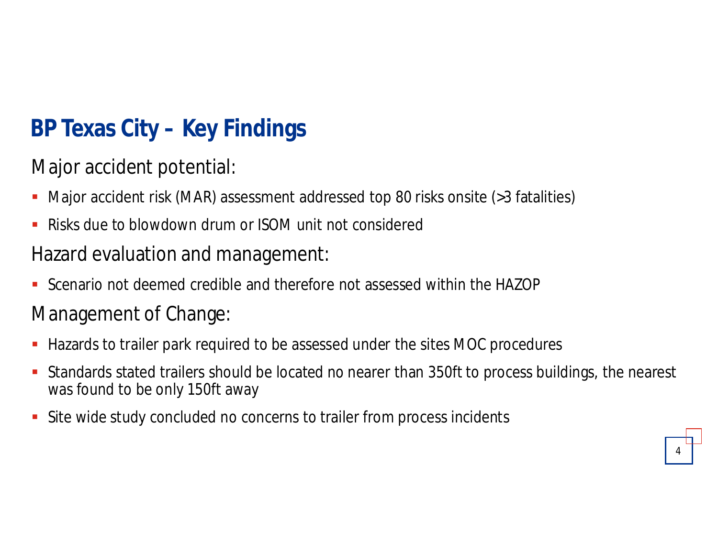# **BP Texas City – Key Findings**

Major accident potential:

- Major accident risk (MAR) assessment addressed top 80 risks onsite (>3 fatalities)
- **E.** Risks due to blowdown drum or ISOM unit not considered

### Hazard evaluation and management:

Scenario not deemed credible and therefore not assessed within the HAZOP

### Management of Change:

- **Hazards to trailer park required to be assessed under the sites MOC procedures**
- Standards stated trailers should be located no nearer than 350ft to process buildings, the nearest was found to be only 150ft away
- Site wide study concluded no concerns to trailer from process incidents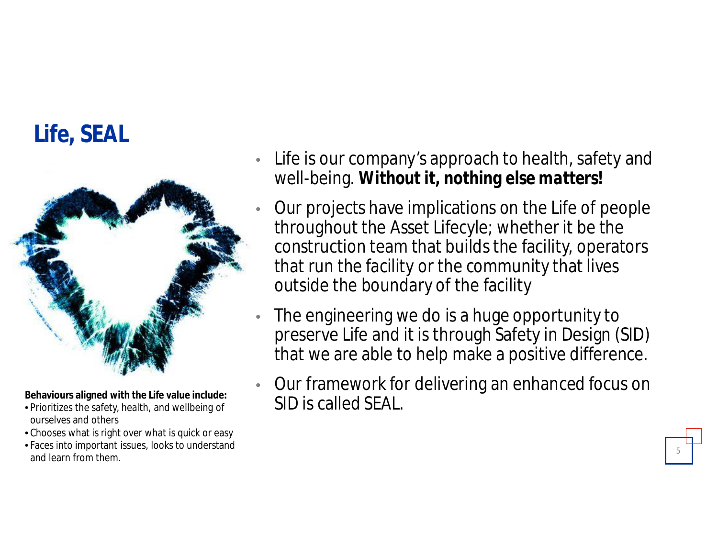# **Life, SEAL**



- ourselves and others
- Chooses what is right over what is quick or easy
- Faces into important issues, looks to understand and learn from them.
- Life is our company's approach to health, safety and well-being. *Without it, nothing else matters!*
- Our projects have implications on the Life of people throughout the Asset Lifecyle; whether it be the construction team that builds the facility, operators that run the facility or the community that lives outside the boundary of the facility
- The engineering we do is a huge opportunity to preserve Life and it is through Safety in Design (SID) that we are able to help make a positive difference.
- Our framework for delivering an enhanced focus on Behaviours aligned with the Life value include:<br>• Prioritizes the safety, health, and wellbeing of **SID is Called SEAL.**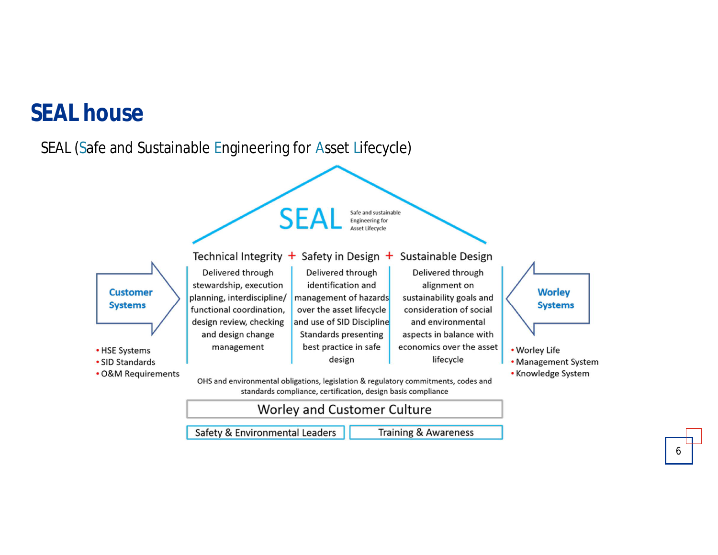### **SEAL house**

#### SEAL (Safe and Sustainable Engineering for Asset Lifecycle)



Safety & Environmental Leaders

**Training & Awareness**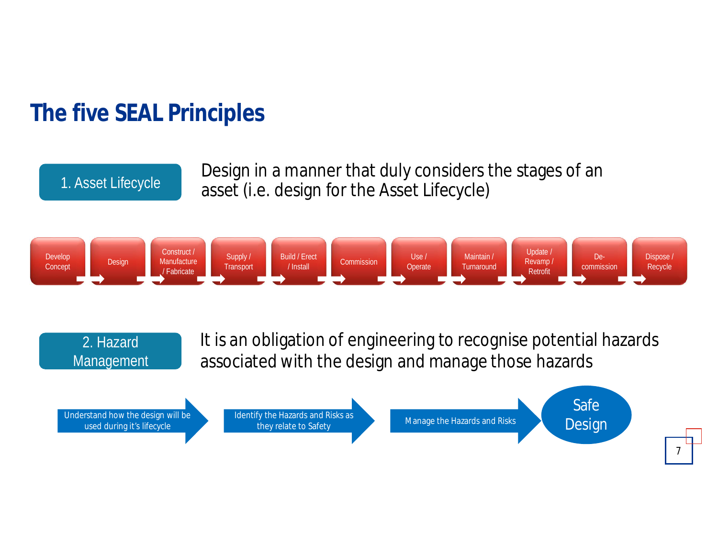## **The five SEAL Principles**

1. Asset Lifecycle

2. Hazard

Management

Design in a manner that duly considers the stages of an asset (i.e. design for the Asset Lifecycle)



It is an obligation of engineering to recognise potential hazards associated with the design and manage those hazards

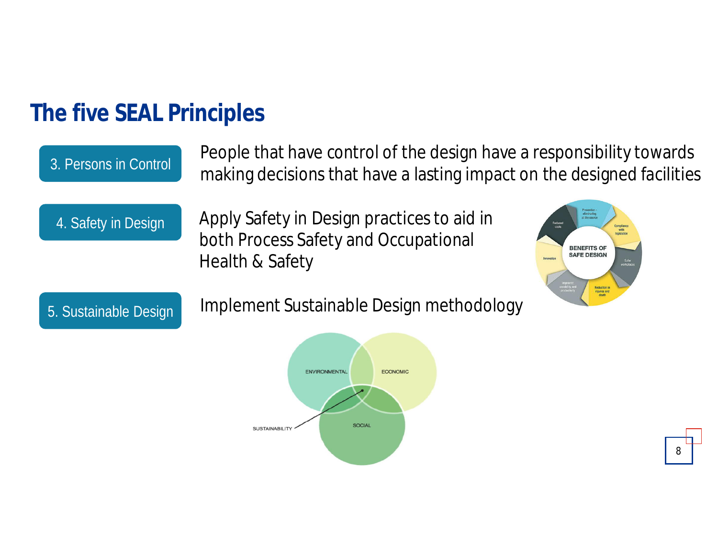### **The five SEAL Principles**

### People that have control of the design have a responsibility towards making decisions that have a lasting impact on the designed facilities

4. Safety in Design

3. Persons in Control

Apply Safety in Design practices to aid in both Process Safety and Occupational Health & Safety



5. Sustainable Design

Implement Sustainable Design methodology

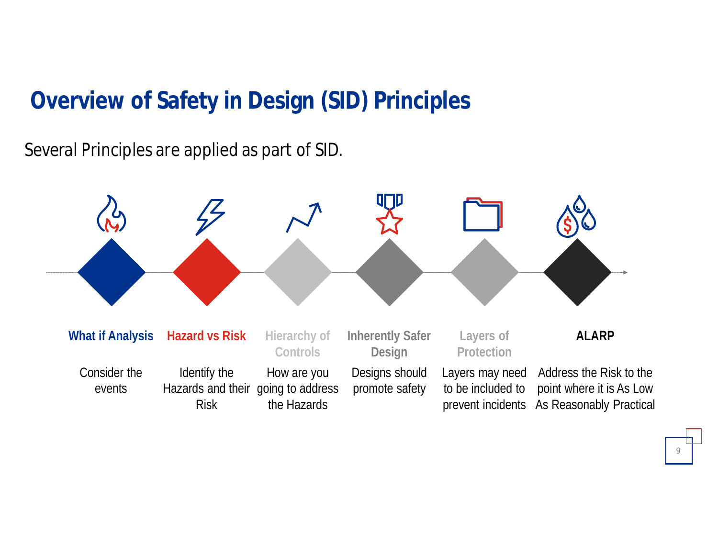## **Overview of Safety in Design (SID) Principles**

Several Principles are applied as part of SID.

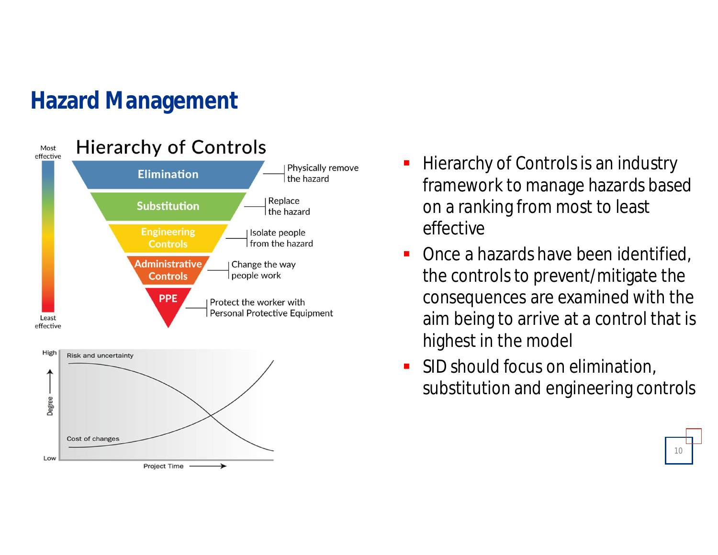## **Hazard Management**



- **Hierarchy of Controls is an industry** framework to manage hazards based on a ranking from most to least effective
- Once a hazards have been identified, the controls to prevent/mitigate the consequences are examined with the aim being to arrive at a control that is highest in the model
- **SID should focus on elimination,** substitution and engineering controls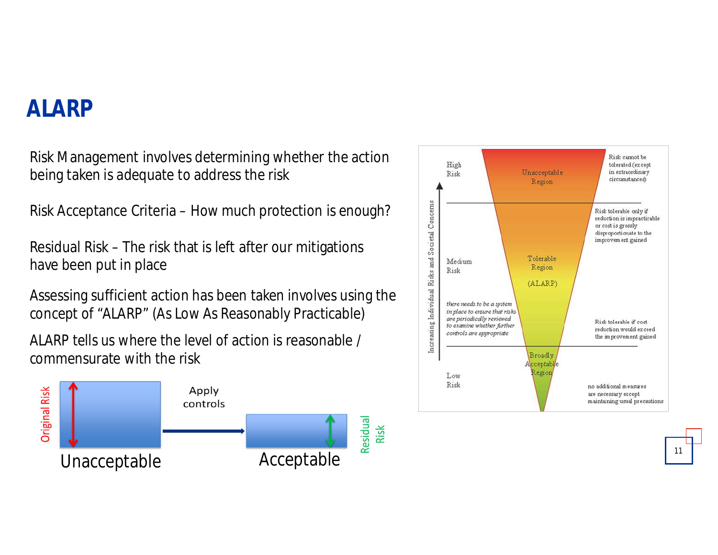### **ALARP**

Risk Management involves determining whether the action being taken is adequate to address the risk

Risk Acceptance Criteria – How much protection is enough?

Residual Risk – The risk that is left after our mitigations have been put in place

Assessing sufficient action has been taken involves using the concept of "ALARP" (As Low As Reasonably Practicable)

ALARP tells us where the level of action is reasonable / commensurate with the risk



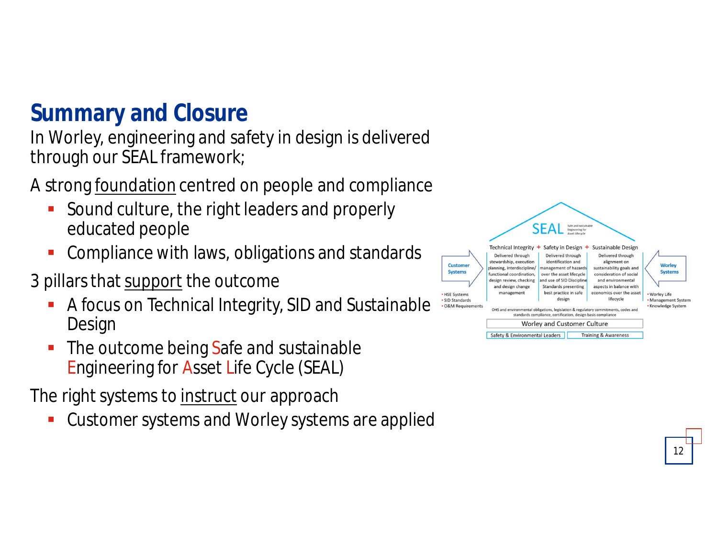## **Summary and Closure**

In Worley, engineering and safety in design is delivered through our SEAL framework;

A strong foundation centred on people and compliance

- Sound culture, the right leaders and properly educated people
- Compliance with laws, obligations and standards

3 pillars that support the outcome

- A focus on Technical Integrity, SID and Sustainable Design
- **The outcome being Safe and sustainable** Engineering for Asset Life Cycle (SEAL)

The right systems to instruct our approach

Customer systems and Worley systems are applied